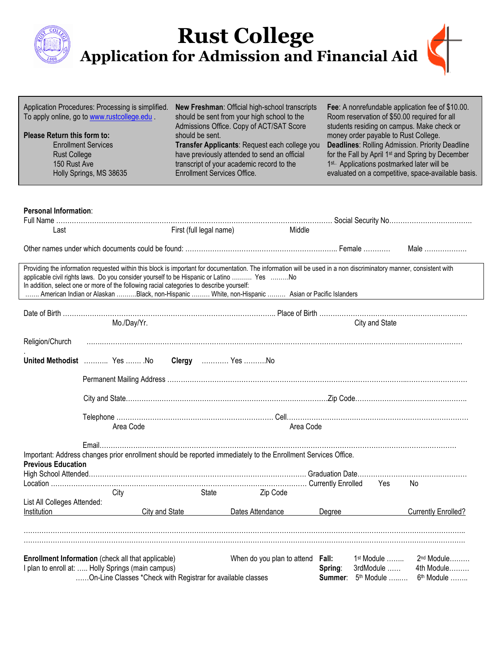|                                                                    |                                                                                                                                                                                     |                                                       | <b>Rust College<br/>Application for Admission and Financial Aid</b>                                                                                                                                                                                                                     |                                                                                                                                                                                                                                                                                                                                                                            |                                                      |
|--------------------------------------------------------------------|-------------------------------------------------------------------------------------------------------------------------------------------------------------------------------------|-------------------------------------------------------|-----------------------------------------------------------------------------------------------------------------------------------------------------------------------------------------------------------------------------------------------------------------------------------------|----------------------------------------------------------------------------------------------------------------------------------------------------------------------------------------------------------------------------------------------------------------------------------------------------------------------------------------------------------------------------|------------------------------------------------------|
| Please Return this form to:<br><b>Rust College</b><br>150 Rust Ave | Application Procedures: Processing is simplified.<br>To apply online, go to www.rustcollege.edu.<br><b>Enrollment Services</b><br>Holly Springs, MS 38635                           | should be sent.<br><b>Enrollment Services Office.</b> | New Freshman: Official high-school transcripts<br>should be sent from your high school to the<br>Admissions Office. Copy of ACT/SAT Score<br>Transfer Applicants: Request each college you<br>have previously attended to send an official<br>transcript of your academic record to the | Fee: A nonrefundable application fee of \$10.00.<br>Room reservation of \$50.00 required for all<br>students residing on campus. Make check or<br>money order payable to Rust College.<br><b>Deadlines: Rolling Admission. Priority Deadline</b><br>for the Fall by April 1 <sup>st</sup> and Spring by December<br>1 <sup>st.</sup> Applications postmarked later will be | evaluated on a competitive, space-available basis.   |
| Personal Information:<br>Last                                      |                                                                                                                                                                                     | First (full legal name)                               | Middle                                                                                                                                                                                                                                                                                  |                                                                                                                                                                                                                                                                                                                                                                            | Male $\ldots$                                        |
|                                                                    | applicable civil rights laws. Do you consider yourself to be Hispanic or Latino  Yes No<br>In addition, select one or more of the following racial categories to describe yourself: |                                                       | Providing the information requested within this block is important for documentation. The information will be used in a non discriminatory manner, consistent with<br>American Indian or Alaskan Black, non-Hispanic  White, non-Hispanic  Asian or Pacific Islanders                   |                                                                                                                                                                                                                                                                                                                                                                            |                                                      |
|                                                                    | Mo./Day/Yr.                                                                                                                                                                         |                                                       |                                                                                                                                                                                                                                                                                         | City and State                                                                                                                                                                                                                                                                                                                                                             |                                                      |
| Religion/Church                                                    | United Methodist  Yes  No                                                                                                                                                           | Clergy  Yes No                                        |                                                                                                                                                                                                                                                                                         |                                                                                                                                                                                                                                                                                                                                                                            |                                                      |
|                                                                    |                                                                                                                                                                                     |                                                       |                                                                                                                                                                                                                                                                                         |                                                                                                                                                                                                                                                                                                                                                                            |                                                      |
|                                                                    |                                                                                                                                                                                     |                                                       |                                                                                                                                                                                                                                                                                         |                                                                                                                                                                                                                                                                                                                                                                            |                                                      |
|                                                                    | Area Code                                                                                                                                                                           |                                                       | Area Code                                                                                                                                                                                                                                                                               |                                                                                                                                                                                                                                                                                                                                                                            |                                                      |
| <b>Previous Education</b>                                          |                                                                                                                                                                                     |                                                       | Important: Address changes prior enrollment should be reported immediately to the Enrollment Services Office.                                                                                                                                                                           | Yes                                                                                                                                                                                                                                                                                                                                                                        | No                                                   |
| List All Colleges Attended:                                        | City                                                                                                                                                                                | State                                                 | Zip Code                                                                                                                                                                                                                                                                                |                                                                                                                                                                                                                                                                                                                                                                            |                                                      |
| Institution                                                        | City and State                                                                                                                                                                      |                                                       | Dates Attendance                                                                                                                                                                                                                                                                        | Degree                                                                                                                                                                                                                                                                                                                                                                     | <b>Currently Enrolled?</b>                           |
|                                                                    |                                                                                                                                                                                     |                                                       |                                                                                                                                                                                                                                                                                         |                                                                                                                                                                                                                                                                                                                                                                            |                                                      |
|                                                                    | <b>Enrollment Information</b> (check all that applicable)<br>I plan to enroll at:  Holly Springs (main campus)<br>On-Line Classes *Check with Registrar for available classes       |                                                       | When do you plan to attend                                                                                                                                                                                                                                                              | Fall:<br>$1st$ Module $\ldots \ldots$<br>3rdModule<br>Spring:<br>Summer: 5 <sup>th</sup> Module                                                                                                                                                                                                                                                                            | $2nd$ Module<br>4th Module<br>6 <sup>th</sup> Module |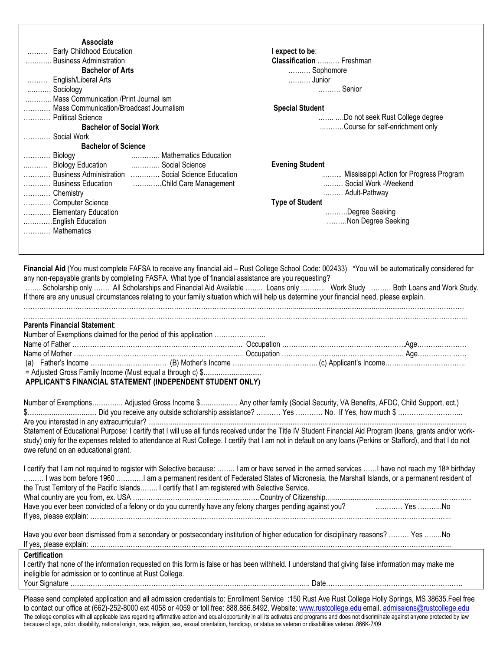| Associate<br>Early Childhood Education<br>Business Administration<br><b>Bachelor of Arts</b><br>English/Liberal Arts<br>Sociology<br>Mass Communication / Print Journal ism<br>Mass Communication/Broadcast Journalism<br>Political Science<br><b>Bachelor of Social Work</b>                                                                                                                                                                                                                                                                                                                                                                                                                                                                                                                                                                                                                                                                                                                                                                                                                                                          | I expect to be:<br>Classification  Freshman<br>Sophomore<br>Junior<br>Senior<br><b>Special Student</b><br>Do not seek Rust College degree<br>Course for self-enrichment only |
|----------------------------------------------------------------------------------------------------------------------------------------------------------------------------------------------------------------------------------------------------------------------------------------------------------------------------------------------------------------------------------------------------------------------------------------------------------------------------------------------------------------------------------------------------------------------------------------------------------------------------------------------------------------------------------------------------------------------------------------------------------------------------------------------------------------------------------------------------------------------------------------------------------------------------------------------------------------------------------------------------------------------------------------------------------------------------------------------------------------------------------------|------------------------------------------------------------------------------------------------------------------------------------------------------------------------------|
| Social Work<br><b>Bachelor of Science</b><br>Mathematics Education<br>Biology<br>Social Science<br>Biology Education<br>Business Administration  Social Science Education<br>Business Education<br>Child Care Management<br>Chemistry<br>Computer Science<br>Elementary Education<br>English Education<br>Mathematics                                                                                                                                                                                                                                                                                                                                                                                                                                                                                                                                                                                                                                                                                                                                                                                                                  | <b>Evening Student</b><br>Mississippi Action for Progress Program<br>Social Work -Weekend<br>Adult-Pathway<br><b>Type of Student</b><br>Degree Seeking<br>Non Degree Seeking |
| Financial Aid (You must complete FAFSA to receive any financial aid - Rust College School Code: 002433) *You will be automatically considered for<br>any non-repayable grants by completing FASFA. What type of financial assistance are you requesting?<br>Scholarship only  All Scholarships and Financial Aid Available  Loans only  Work Study  Both Loans and Work Study.<br>If there are any unusual circumstances relating to your family situation which will help us determine your financial need, please explain.<br><b>Parents Financial Statement:</b><br>Number of Exemptions claimed for the period of this application<br>APPLICANT'S FINANCIAL STATEMENT (INDEPENDENT STUDENT ONLY)                                                                                                                                                                                                                                                                                                                                                                                                                                   |                                                                                                                                                                              |
| Number of Exemptions Adjusted Gross Income \$ Any other family (Social Security, VA Benefits, AFDC, Child Support, ect.)<br>Statement of Educational Purpose: I certify that I will use all funds received under the Title IV Student Financial Aid Program (Ioans, grants and/or work-<br>study) only for the expenses related to attendance at Rust College. I certify that I am not in default on any loans (Perkins or Stafford), and that I do not<br>owe refund on an educational grant.<br>I certify that I am not required to register with Selective because:  I am or have served in the armed services I have not reach my 18 <sup>th</sup> birthday<br>I was born before 1960 I am a permanent resident of Federated States of Micronesia, the Marshall Islands, or a permanent resident of<br>the Trust Territory of the Pacific Islands I certify that I am registered with Selective Service.<br>Have you ever been convicted of a felony or do you currently have any felony charges pending against you?<br>Have you ever been convicted of a felony or do you currently have any felony charges pending against you? |                                                                                                                                                                              |
| Have you ever been dismissed from a secondary or postsecondary institution of higher education for disciplinary reasons?  Yes No<br><b>Certification</b><br>I certify that none of the information requested on this form is false or has been withheld. I understand that giving false information may make me<br>ineligible for admission or to continue at Rust College.<br>Please send completed application and all admission credentials to: Enrollment Service :150 Rust Ave Rust College Holly Springs, MS 38635 Feel free                                                                                                                                                                                                                                                                                                                                                                                                                                                                                                                                                                                                     |                                                                                                                                                                              |
| to contact our office at (662)-252-8000 ext 4058 or 4059 or toll free: 888.886.8492. Website: www.rustcollege.edu email. admissions@rustcollege.edu                                                                                                                                                                                                                                                                                                                                                                                                                                                                                                                                                                                                                                                                                                                                                                                                                                                                                                                                                                                    |                                                                                                                                                                              |

The college complies with all applicable laws regarding affirmative action and equal opportunity in all its activates and programs and does not discriminate against anyone protected by law because of age, color, disability, national origin, race, religion, sex, sexual orientation, handicap, or status as veteran or disabilities veteran. 866K-7/09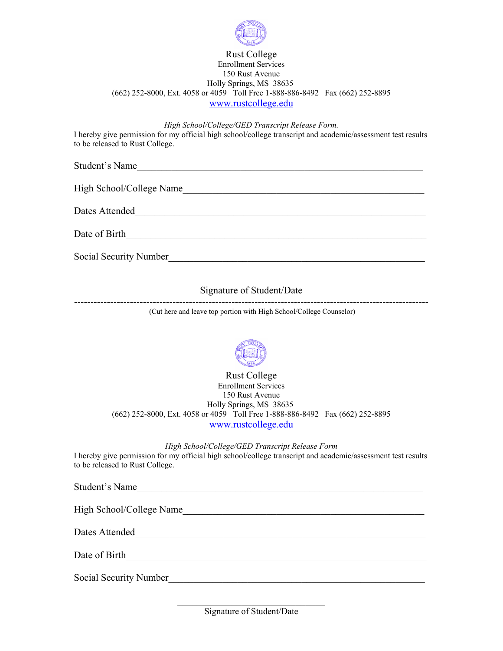

#### Rust College Enrollment Services 150 Rust Avenue Holly Springs, MS 38635 (662) 252-8000, Ext. 4058 or 4059 Toll Free 1-888-886-8492 Fax (662) 252-8895 www.rustcollege.edu

*High School/College/GED Transcript Release Form.* 

I hereby give permission for my official high school/college transcript and academic/assessment test results to be released to Rust College.

Student's Name\_\_\_\_\_\_\_\_\_\_\_\_\_\_\_\_\_\_\_\_\_\_\_\_\_\_\_\_\_\_\_\_\_\_\_\_\_\_\_\_\_\_\_\_\_\_\_\_\_\_\_\_\_\_\_\_\_\_

High School/College Name\_\_\_\_\_\_\_\_\_\_\_\_\_\_\_\_\_\_\_\_\_\_\_\_\_\_\_\_\_\_\_\_\_\_\_\_\_\_\_\_\_\_\_\_\_\_\_\_\_

Dates Attended\_\_\_\_\_\_\_\_\_\_\_\_\_\_\_\_\_\_\_\_\_\_\_\_\_\_\_\_\_\_\_\_\_\_\_\_\_\_\_\_\_\_\_\_\_\_\_\_\_\_\_\_\_\_\_\_\_\_\_

Date of Birth

Social Security Number

#### $\mathcal{L}_\text{max}$  , where  $\mathcal{L}_\text{max}$  and  $\mathcal{L}_\text{max}$ Signature of Student/Date

------------------------------------------------------------------------------------------------------------ (Cut here and leave top portion with High School/College Counselor)



Rust College Enrollment Services 150 Rust Avenue Holly Springs, MS 38635 (662) 252-8000, Ext. 4058 or 4059 Toll Free 1-888-886-8492 Fax (662) 252-8895 www.rustcollege.edu

*High School/College/GED Transcript Release Form* 

I hereby give permission for my official high school/college transcript and academic/assessment test results to be released to Rust College.

| Student's Name           |
|--------------------------|
| High School/College Name |
| Dates Attended           |
| Date of Birth            |
| Social Security Number   |

 $\mathcal{L}_\text{max}$  , where  $\mathcal{L}_\text{max}$  and  $\mathcal{L}_\text{max}$ Signature of Student/Date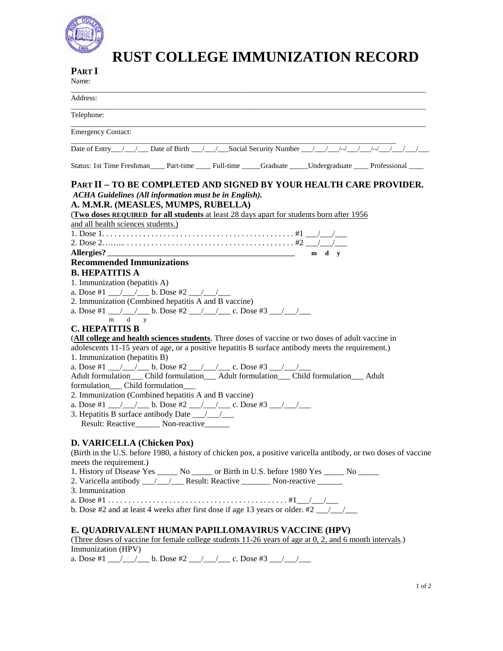

# **RUST COLLEGE IMMUNIZATION RECORD**

#### **PART I**  Name:

| ivalue.                                                                                                                                                                                                                                                                                                                                                                                                                                                                                                                                                                                                                                                                                                                                                                                                                                                                                                                                                                                                                                                                                                                                                                                                 |
|---------------------------------------------------------------------------------------------------------------------------------------------------------------------------------------------------------------------------------------------------------------------------------------------------------------------------------------------------------------------------------------------------------------------------------------------------------------------------------------------------------------------------------------------------------------------------------------------------------------------------------------------------------------------------------------------------------------------------------------------------------------------------------------------------------------------------------------------------------------------------------------------------------------------------------------------------------------------------------------------------------------------------------------------------------------------------------------------------------------------------------------------------------------------------------------------------------|
| Address:                                                                                                                                                                                                                                                                                                                                                                                                                                                                                                                                                                                                                                                                                                                                                                                                                                                                                                                                                                                                                                                                                                                                                                                                |
| Telephone:                                                                                                                                                                                                                                                                                                                                                                                                                                                                                                                                                                                                                                                                                                                                                                                                                                                                                                                                                                                                                                                                                                                                                                                              |
| <b>Emergency Contact:</b>                                                                                                                                                                                                                                                                                                                                                                                                                                                                                                                                                                                                                                                                                                                                                                                                                                                                                                                                                                                                                                                                                                                                                                               |
| Date of Entry 11 1 Date of Birth 11 1 Social Security Number 11 1 1 1 1 1 1                                                                                                                                                                                                                                                                                                                                                                                                                                                                                                                                                                                                                                                                                                                                                                                                                                                                                                                                                                                                                                                                                                                             |
| Status: 1st Time Freshman____ Part-time ____ Full-time _____Graduate _____Undergraduate ____ Professional ____                                                                                                                                                                                                                                                                                                                                                                                                                                                                                                                                                                                                                                                                                                                                                                                                                                                                                                                                                                                                                                                                                          |
| <b>PART II – TO BE COMPLETED AND SIGNED BY YOUR HEALTH CARE PROVIDER.</b><br>ACHA Guidelines (All information must be in English).<br>A. M.M.R. (MEASLES, MUMPS, RUBELLA)<br>(Two doses REQUIRED for all students at least 28 days apart for students born after 1956)<br>and all health sciences students.)<br>$m \, d \, v$<br><b>Recommended Immunizations</b><br><b>B. HEPATITIS A</b><br>1. Immunization (hepatitis A)<br>a. Dose #1 __/__/__ b. Dose #2 __/__/__<br>2. Immunization (Combined hepatitis A and B vaccine)<br>a. Dose #1 $\angle$ / b. Dose #2 $\angle$ / c. Dose #3 $\angle$ /<br>m d y<br><b>C. HEPATITIS B</b><br>(All college and health sciences students. Three doses of vaccine or two doses of adult vaccine in<br>adolescents 11-15 years of age, or a positive hepatitis B surface antibody meets the requirement.)<br>1. Immunization (hepatitis B)<br>formulation Child formulation<br>2. Immunization (Combined hepatitis A and B vaccine)<br>Result: Reactive________ Non-reactive______<br>D. VARICELLA (Chicken Pox)<br>(Birth in the U.S. before 1980, a history of chicken pox, a positive varicella antibody, or two doses of vaccine<br>meets the requirement.) |
| 1. History of Disease Yes ______ No ______ or Birth in U.S. before 1980 Yes ______ No ______<br>2. Varicella antibody __/__/__ Result: Reactive ________ Non-reactive ______                                                                                                                                                                                                                                                                                                                                                                                                                                                                                                                                                                                                                                                                                                                                                                                                                                                                                                                                                                                                                            |
| 3. Immunization                                                                                                                                                                                                                                                                                                                                                                                                                                                                                                                                                                                                                                                                                                                                                                                                                                                                                                                                                                                                                                                                                                                                                                                         |
| b. Dose #2 and at least 4 weeks after first dose if age 13 years or older. #2 1                                                                                                                                                                                                                                                                                                                                                                                                                                                                                                                                                                                                                                                                                                                                                                                                                                                                                                                                                                                                                                                                                                                         |

#### **E. QUADRIVALENT HUMAN PAPILLOMAVIRUS VACCINE (HPV)**

(Three doses of vaccine for female college students 11-26 years of age at 0, 2, and 6 month intervals.) Immunization (HPV)

a. Dose #1 \_\_\_/\_\_\_/\_\_\_\_ b. Dose #2 \_\_\_/\_\_\_/\_\_\_\_\_ c. Dose #3 \_\_\_/\_\_\_/\_\_\_\_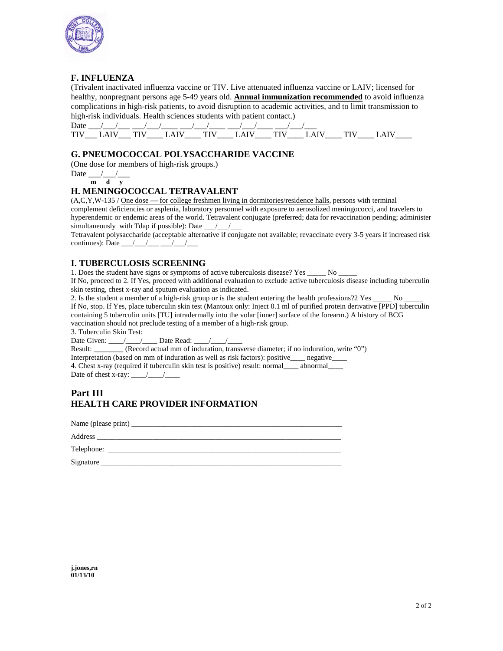

#### **F. INFLUENZA**

(Trivalent inactivated influenza vaccine or TIV. Live attenuated influenza vaccine or LAIV; licensed for healthy, nonpregnant persons age 5-49 years old. **Annual immunization recommended** to avoid influenza complications in high-risk patients, to avoid disruption to academic activities, and to limit transmission to high-risk individuals. Health sciences students with patient contact.)

| Date       |       |           |         |  |  |   |        |
|------------|-------|-----------|---------|--|--|---|--------|
| וחי<br>. . | _____ | _________ | _______ |  |  | - | ______ |

### **G. PNEUMOCOCCAL POLYSACCHARIDE VACCINE**

(One dose for members of high-risk groups.)

$$
Date \frac{1}{m} \frac{1}{d} \frac{1}{y}
$$

#### **H. MENINGOCOCCAL TETRAVALENT**

(A,C,Y,W-135 / One dose — for college freshmen living in dormitories/residence halls, persons with terminal complement deficiencies or asplenia, laboratory personnel with exposure to aerosolized meningococci, and travelers to hyperendemic or endemic areas of the world. Tetravalent conjugate (preferred; data for revaccination pending; administer simultaneously with Tdap if possible): Date  $\rule{1em}{0.15mm}$ 

Tetravalent polysaccharide (acceptable alternative if conjugate not available; revaccinate every 3-5 years if increased risk continues): Date  $\frac{\sqrt{2}}{2}$ 

#### **I. TUBERCULOSIS SCREENING**

1. Does the student have signs or symptoms of active tuberculosis disease? Yes \_\_\_\_\_ No \_\_\_\_\_

If No, proceed to 2. If Yes, proceed with additional evaluation to exclude active tuberculosis disease including tuberculin skin testing, chest x-ray and sputum evaluation as indicated.

2. Is the student a member of a high-risk group or is the student entering the health professions?2 Yes  $\frac{1}{\sqrt{2}}$  No

If No, stop. If Yes, place tuberculin skin test (Mantoux only: Inject 0.1 ml of purified protein derivative [PPD] tuberculin containing 5 tuberculin units [TU] intradermally into the volar [inner] surface of the forearm.) A history of BCG vaccination should not preclude testing of a member of a high-risk group.

3. Tuberculin Skin Test:

Date Given:  $\angle$  / Date Read:  $\angle$  /

Result: (Record actual mm of induration, transverse diameter; if no induration, write "0") Interpretation (based on mm of induration as well as risk factors): positive\_\_\_\_ negative\_\_\_\_ 4. Chest x-ray (required if tuberculin skin test is positive) result: normal\_\_\_\_ abnormal\_\_\_\_

Date of chest x-ray:  $\frac{\sqrt{2}}{2}$ 

# **Part III HEALTH CARE PROVIDER INFORMATION**

| Telephone: |
|------------|
| Signature  |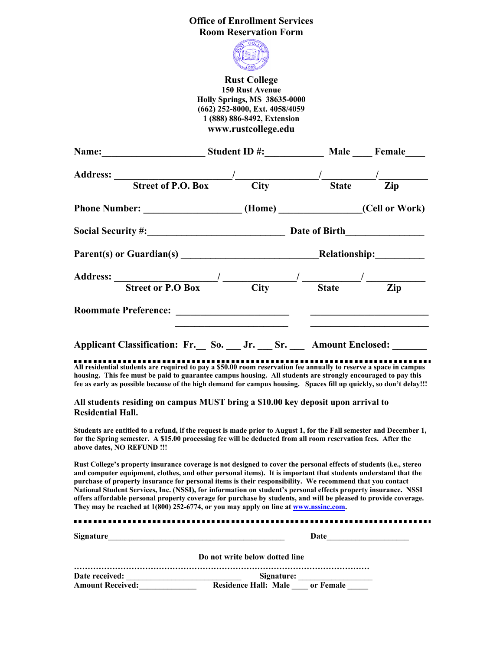## **Office of Enrollment Services Room Reservation Form**



**Rust College 150 Rust Avenue Holly Springs, MS 38635-0000 (662) 252-8000, Ext. 4058/4059 1 (888) 886-8492, Extension www.rustcollege.edu** 

| Name: Student ID #: Male Female                                                                                                                                                                                                                                                                                                                                                                                |                                         |  |  |
|----------------------------------------------------------------------------------------------------------------------------------------------------------------------------------------------------------------------------------------------------------------------------------------------------------------------------------------------------------------------------------------------------------------|-----------------------------------------|--|--|
|                                                                                                                                                                                                                                                                                                                                                                                                                |                                         |  |  |
| Address: <u>Street of P.O. Box City State</u> Zip                                                                                                                                                                                                                                                                                                                                                              |                                         |  |  |
| Phone Number: _____________________(Home) _____________(Cell or Work)                                                                                                                                                                                                                                                                                                                                          |                                         |  |  |
|                                                                                                                                                                                                                                                                                                                                                                                                                |                                         |  |  |
|                                                                                                                                                                                                                                                                                                                                                                                                                |                                         |  |  |
|                                                                                                                                                                                                                                                                                                                                                                                                                |                                         |  |  |
| Address: $\frac{1}{\sqrt{1-\frac{1}{1-\frac{1}{1-\frac{1}{1-\frac{1}{1-\frac{1}{1-\frac{1}{1-\frac{1}{1-\frac{1}{1-\frac{1}{1-\frac{1}{1-\frac{1}{1-\frac{1}{1-\frac{1}{1-\frac{1}{1-\frac{1}{1-\frac{1}{1-\frac{1}{1-\frac{1}{1-\frac{1}{1-\frac{1}{1-\frac{1}{1-\frac{1}{1-\frac{1}{1-\frac{1}{1-\frac{1}{1-\frac{1}{1-\frac{1}{1-\frac{1}{1-\frac{1}{1-\frac{1}{1-\frac{1}{1-\frac{1}{1-\frac{1}{1-\frac{1$ |                                         |  |  |
|                                                                                                                                                                                                                                                                                                                                                                                                                | <u> 1980 - Johann Barbara, martin a</u> |  |  |
| Applicant Classification: Fr. So. _ Jr. Sr. _ Amount Enclosed: ____                                                                                                                                                                                                                                                                                                                                            |                                         |  |  |
| All residential students are required to pay a \$50.00 room reservation fee annually to reserve a space in campus<br>housing. This fee must be paid to guarantee campus housing. All students are strongly encouraged to pay this<br>fee as early as possible because of the high demand for campus housing. Spaces fill up quickly, so don't delay!!!                                                         |                                         |  |  |
| All students residing on campus MUST bring a \$10.00 key deposit upon arrival to                                                                                                                                                                                                                                                                                                                               |                                         |  |  |

**Residential Hall.** 

**Students are entitled to a refund, if the request is made prior to August 1, for the Fall semester and December 1, for the Spring semester. A \$15.00 processing fee will be deducted from all room reservation fees. After the above dates, NO REFUND !!!** 

**Rust College's property insurance coverage is not designed to cover the personal effects of students (i.e., stereo and computer equipment, clothes, and other personal items). It is important that students understand that the purchase of property insurance for personal items is their responsibility. We recommend that you contact National Student Services, Inc. (NSSI), for information on student's personal effects property insurance. NSSI offers affordable personal property coverage for purchase by students, and will be pleased to provide coverage. They may be reached at 1(800) 252-6774, or you may apply on line at www.nssinc.com.** 

| <b>Signature</b>                          | Date                                         |
|-------------------------------------------|----------------------------------------------|
|                                           | Do not write below dotted line               |
| Date received:<br><b>Amount Received:</b> | Signature:<br>Residence Hall: Male or Female |